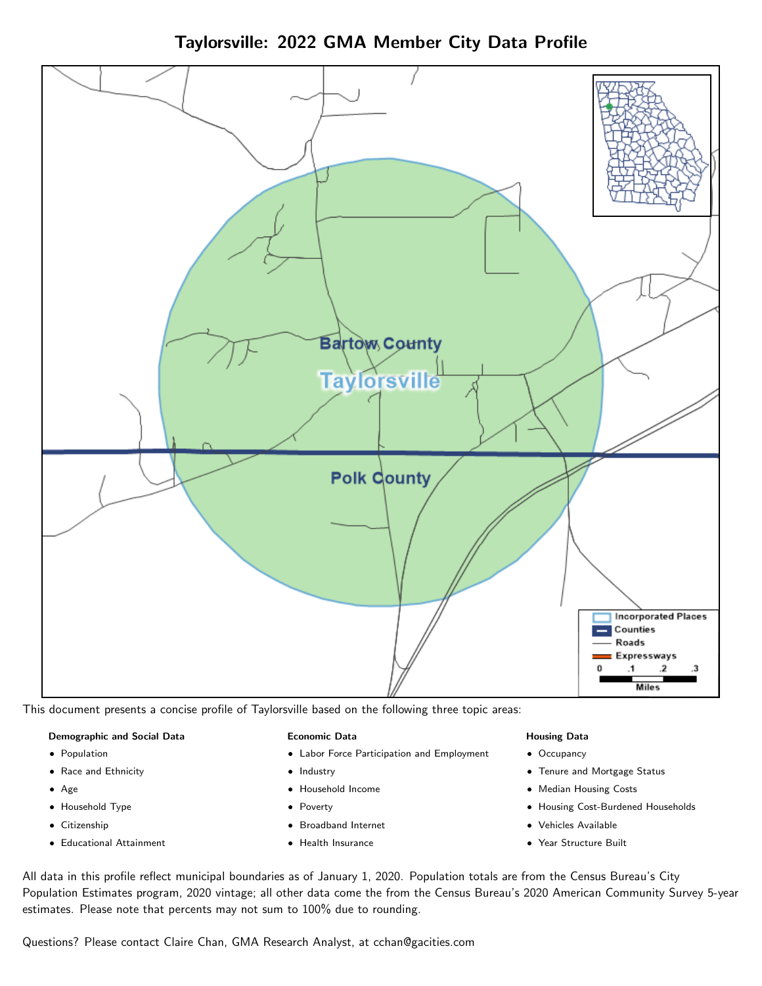Taylorsville: 2022 GMA Member City Data Profile



This document presents a concise profile of Taylorsville based on the following three topic areas:

#### Demographic and Social Data

- **•** Population
- Race and Ethnicity
- Age
- Household Type
- **Citizenship**
- Educational Attainment

#### Economic Data

- Labor Force Participation and Employment
- Industry
- Household Income
- Poverty
- Broadband Internet
- Health Insurance

#### Housing Data

- Occupancy
- Tenure and Mortgage Status
- Median Housing Costs
- Housing Cost-Burdened Households
- Vehicles Available
- Year Structure Built

All data in this profile reflect municipal boundaries as of January 1, 2020. Population totals are from the Census Bureau's City Population Estimates program, 2020 vintage; all other data come the from the Census Bureau's 2020 American Community Survey 5-year estimates. Please note that percents may not sum to 100% due to rounding.

Questions? Please contact Claire Chan, GMA Research Analyst, at [cchan@gacities.com.](mailto:cchan@gacities.com)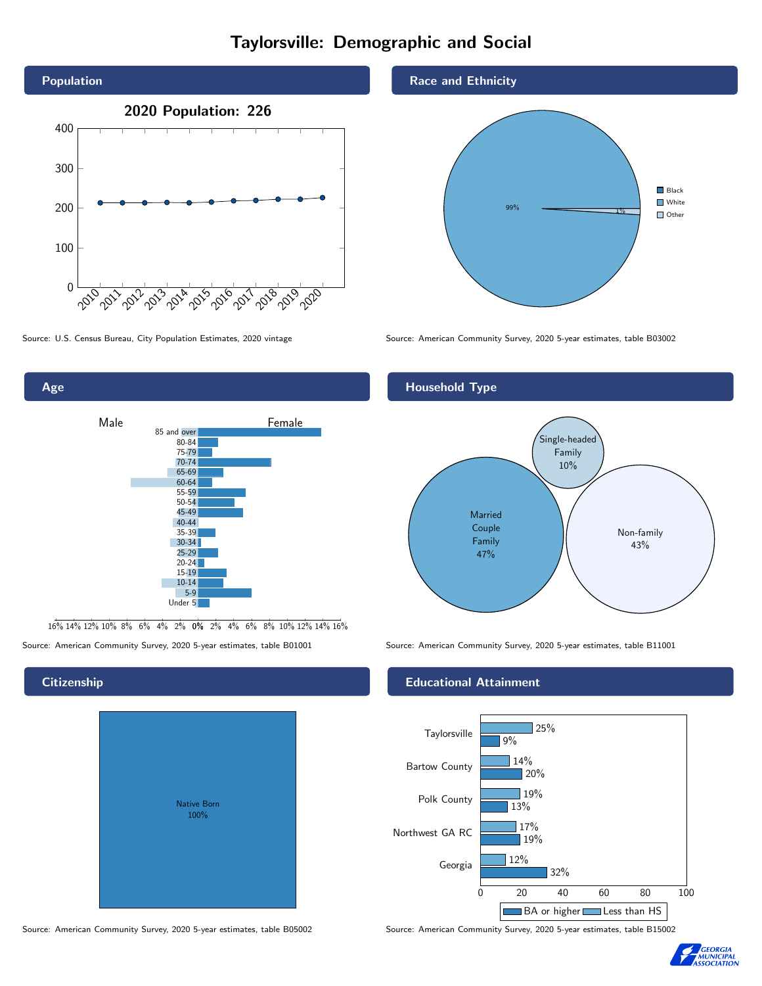# Taylorsville: Demographic and Social





16% 14% 12% 10% 8% 6% 4% 2% 0% 2% 4% 6% 8% 10% 12% 14% 16%

# Native Born 100%

#### Race and Ethnicity



Source: U.S. Census Bureau, City Population Estimates, 2020 vintage Source: American Community Survey, 2020 5-year estimates, table B03002



Source: American Community Survey, 2020 5-year estimates, table B01001 Source: American Community Survey, 2020 5-year estimates, table B11001

#### Educational Attainment



Source: American Community Survey, 2020 5-year estimates, table B05002 Source: American Community Survey, 2020 5-year estimates, table B15002



#### **Citizenship**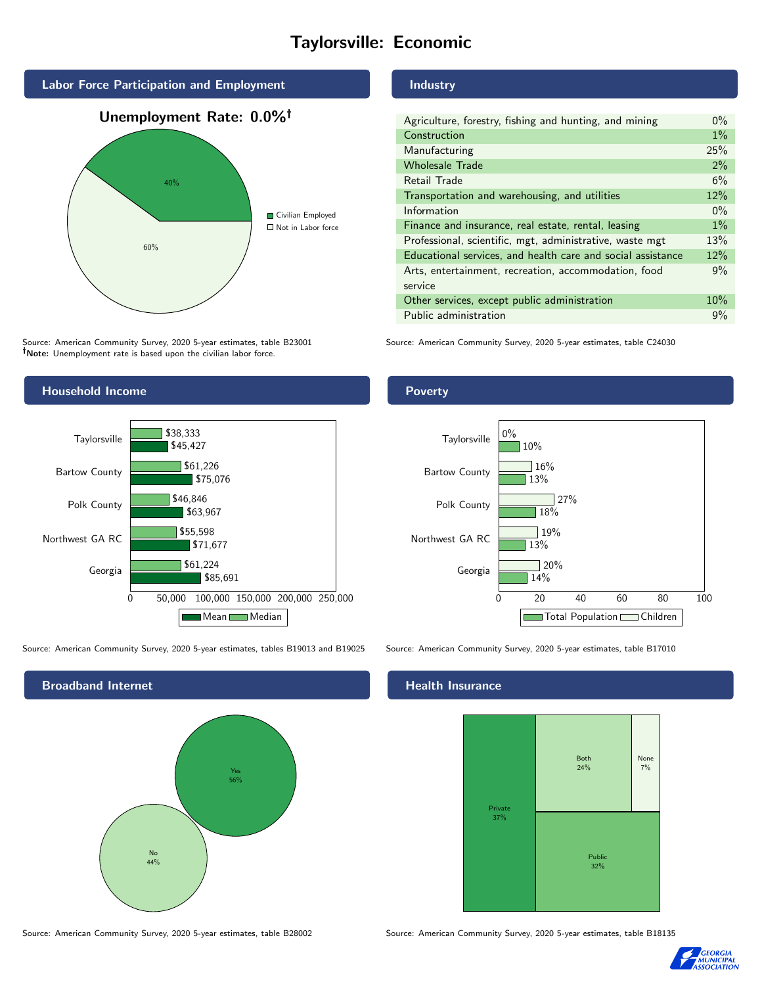# Taylorsville: Economic



Source: American Community Survey, 2020 5-year estimates, table B23001 Note: Unemployment rate is based upon the civilian labor force.

#### Industry

| Agriculture, forestry, fishing and hunting, and mining      | $0\%$ |
|-------------------------------------------------------------|-------|
| Construction                                                | $1\%$ |
| Manufacturing                                               | 25%   |
| <b>Wholesale Trade</b>                                      | 2%    |
| Retail Trade                                                | 6%    |
| Transportation and warehousing, and utilities               | 12%   |
| Information                                                 | $0\%$ |
| Finance and insurance, real estate, rental, leasing         | $1\%$ |
| Professional, scientific, mgt, administrative, waste mgt    | 13%   |
| Educational services, and health care and social assistance | 12%   |
| Arts, entertainment, recreation, accommodation, food        | 9%    |
| service                                                     |       |
| Other services, except public administration                | 10%   |
| Public administration                                       | 9%    |
|                                                             |       |

Source: American Community Survey, 2020 5-year estimates, table C24030



Source: American Community Survey, 2020 5-year estimates, tables B19013 and B19025 Source: American Community Survey, 2020 5-year estimates, table B17010

Broadband Internet No 44% Yes 56%

#### Health Insurance



Source: American Community Survey, 2020 5-year estimates, table B28002 Source: American Community Survey, 2020 5-year estimates, table B18135